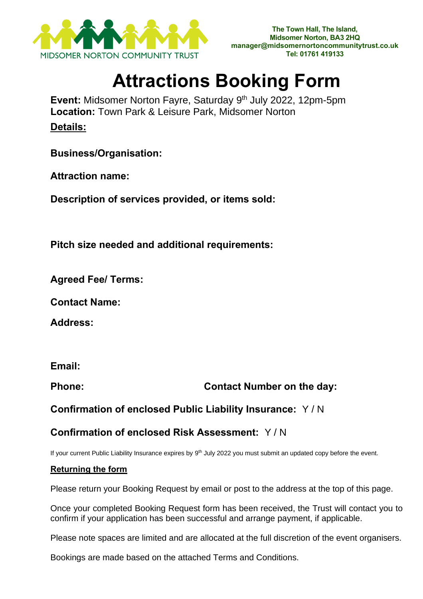

## **Attractions Booking Form**

**Event:** Midsomer Norton Fayre, Saturday 9 th July 2022, 12pm-5pm **Location:** Town Park & Leisure Park, Midsomer Norton **Details:**

**Business/Organisation:**

**Attraction name:**

**Description of services provided, or items sold:**

**Pitch size needed and additional requirements:** 

**Agreed Fee/ Terms:**

**Contact Name:** 

**Address:**

**Email:**

**Phone: Contact Number on the day:**

**Confirmation of enclosed Public Liability Insurance:** Y / N

## **Confirmation of enclosed Risk Assessment:** Y / N

If your current Public Liability Insurance expires by 9<sup>th</sup> July 2022 you must submit an updated copy before the event.

## **Returning the form**

Please return your Booking Request by email or post to the address at the top of this page.

Once your completed Booking Request form has been received, the Trust will contact you to confirm if your application has been successful and arrange payment, if applicable.

Please note spaces are limited and are allocated at the full discretion of the event organisers.

Bookings are made based on the attached Terms and Conditions.